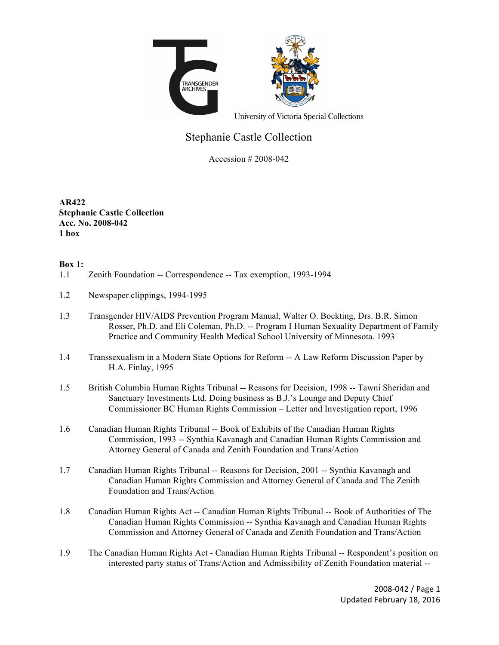

University of Victoria Special Collections

## Stephanie Castle Collection

Accession # 2008-042

**AR422 Stephanie Castle Collection Acc. No. 2008-042 1 box**

## **Box 1:**

- 1.1 Zenith Foundation -- Correspondence -- Tax exemption, 1993-1994
- 1.2 Newspaper clippings, 1994-1995
- 1.3 Transgender HIV/AIDS Prevention Program Manual, Walter O. Bockting, Drs. B.R. Simon Rosser, Ph.D. and Eli Coleman, Ph.D. -- Program I Human Sexuality Department of Family Practice and Community Health Medical School University of Minnesota. 1993
- 1.4 Transsexualism in a Modern State Options for Reform -- A Law Reform Discussion Paper by H.A. Finlay, 1995
- 1.5 British Columbia Human Rights Tribunal -- Reasons for Decision, 1998 -- Tawni Sheridan and Sanctuary Investments Ltd. Doing business as B.J.'s Lounge and Deputy Chief Commissioner BC Human Rights Commission – Letter and Investigation report, 1996
- 1.6 Canadian Human Rights Tribunal -- Book of Exhibits of the Canadian Human Rights Commission, 1993 -- Synthia Kavanagh and Canadian Human Rights Commission and Attorney General of Canada and Zenith Foundation and Trans/Action
- 1.7 Canadian Human Rights Tribunal -- Reasons for Decision, 2001 -- Synthia Kavanagh and Canadian Human Rights Commission and Attorney General of Canada and The Zenith Foundation and Trans/Action
- 1.8 Canadian Human Rights Act -- Canadian Human Rights Tribunal -- Book of Authorities of The Canadian Human Rights Commission -- Synthia Kavanagh and Canadian Human Rights Commission and Attorney General of Canada and Zenith Foundation and Trans/Action
- 1.9 The Canadian Human Rights Act Canadian Human Rights Tribunal -- Respondent's position on interested party status of Trans/Action and Admissibility of Zenith Foundation material --

2008-042 / Page 1 Updated February 18, 2016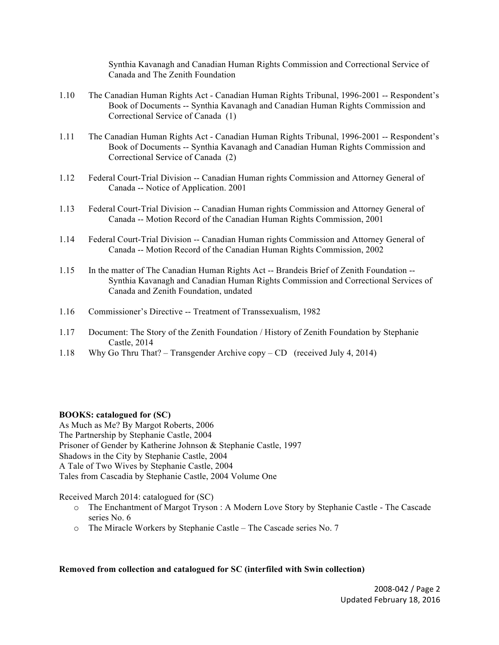Synthia Kavanagh and Canadian Human Rights Commission and Correctional Service of Canada and The Zenith Foundation

- 1.10 The Canadian Human Rights Act Canadian Human Rights Tribunal, 1996-2001 -- Respondent's Book of Documents -- Synthia Kavanagh and Canadian Human Rights Commission and Correctional Service of Canada (1)
- 1.11 The Canadian Human Rights Act Canadian Human Rights Tribunal, 1996-2001 -- Respondent's Book of Documents -- Synthia Kavanagh and Canadian Human Rights Commission and Correctional Service of Canada (2)
- 1.12 Federal Court-Trial Division -- Canadian Human rights Commission and Attorney General of Canada -- Notice of Application. 2001
- 1.13 Federal Court-Trial Division -- Canadian Human rights Commission and Attorney General of Canada -- Motion Record of the Canadian Human Rights Commission, 2001
- 1.14 Federal Court-Trial Division -- Canadian Human rights Commission and Attorney General of Canada -- Motion Record of the Canadian Human Rights Commission, 2002
- 1.15 In the matter of The Canadian Human Rights Act -- Brandeis Brief of Zenith Foundation -- Synthia Kavanagh and Canadian Human Rights Commission and Correctional Services of Canada and Zenith Foundation, undated
- 1.16 Commissioner's Directive -- Treatment of Transsexualism, 1982
- 1.17 Document: The Story of the Zenith Foundation / History of Zenith Foundation by Stephanie Castle, 2014
- 1.18 Why Go Thru That? Transgender Archive copy CD (received July 4, 2014)

## **BOOKS: catalogued for (SC)**

As Much as Me? By Margot Roberts, 2006 The Partnership by Stephanie Castle, 2004 Prisoner of Gender by Katherine Johnson & Stephanie Castle, 1997 Shadows in the City by Stephanie Castle, 2004 A Tale of Two Wives by Stephanie Castle, 2004 Tales from Cascadia by Stephanie Castle, 2004 Volume One

Received March 2014: catalogued for (SC)

- o The Enchantment of Margot Tryson : A Modern Love Story by Stephanie Castle The Cascade series No. 6
- o The Miracle Workers by Stephanie Castle The Cascade series No. 7

## **Removed from collection and catalogued for SC (interfiled with Swin collection)**